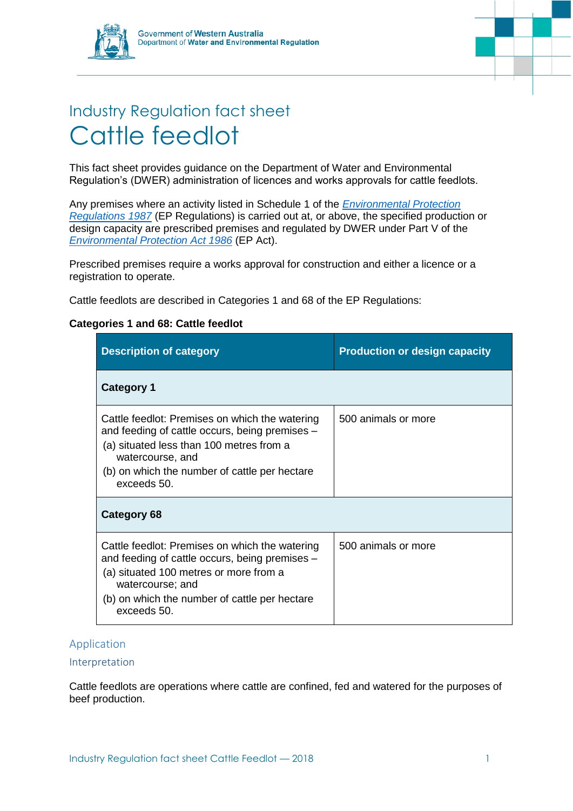

# Industry Regulation fact sheet Cattle feedlot

This fact sheet provides guidance on the Department of Water and Environmental Regulation's (DWER) administration of licences and works approvals for cattle feedlots.

Any premises where an activity listed in Schedule 1 of the *[Environmental Protection](https://www.slp.wa.gov.au/legislation/statutes.nsf/main_mrtitle_1400_homepage.html)  [Regulations 1987](https://www.slp.wa.gov.au/legislation/statutes.nsf/main_mrtitle_1400_homepage.html)* (EP Regulations) is carried out at, or above, the specified production or design capacity are prescribed premises and regulated by DWER under Part V of the *[Environmental Protection Act 1986](https://www.slp.wa.gov.au/legislation/statutes.nsf/main_mrtitle_304_homepage.html)* (EP Act).

Prescribed premises require a works approval for construction and either a licence or a registration to operate.

Cattle feedlots are described in Categories 1 and 68 of the EP Regulations:

# **Categories 1 and 68: Cattle feedlot**

| <b>Description of category</b>                                                                                                                                                                                                   | <b>Production or design capacity</b> |
|----------------------------------------------------------------------------------------------------------------------------------------------------------------------------------------------------------------------------------|--------------------------------------|
| <b>Category 1</b>                                                                                                                                                                                                                |                                      |
| Cattle feedlot: Premises on which the watering<br>and feeding of cattle occurs, being premises –<br>(a) situated less than 100 metres from a<br>watercourse, and<br>(b) on which the number of cattle per hectare<br>exceeds 50. | 500 animals or more                  |
| Category 68                                                                                                                                                                                                                      |                                      |
| Cattle feedlot: Premises on which the watering<br>and feeding of cattle occurs, being premises –<br>(a) situated 100 metres or more from a<br>watercourse; and<br>(b) on which the number of cattle per hectare<br>exceeds 50.   | 500 animals or more                  |

### Application

#### Interpretation

Cattle feedlots are operations where cattle are confined, fed and watered for the purposes of beef production.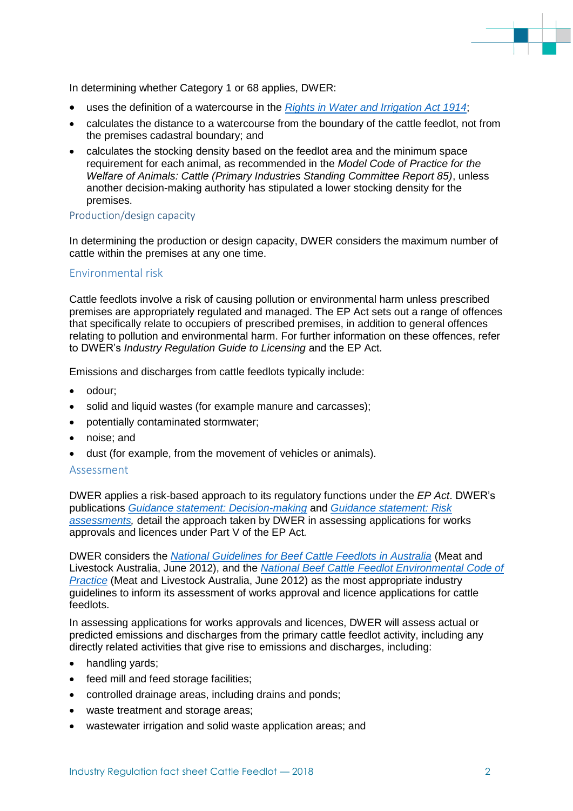

In determining whether Category 1 or 68 applies, DWER:

- uses the definition of a watercourse in the *[Rights in Water and Irrigation Act 1914](https://www.slp.wa.gov.au/legislation/statutes.nsf/main_mrtitle_844_homepage.html)*;
- calculates the distance to a watercourse from the boundary of the cattle feedlot, not from the premises cadastral boundary; and
- calculates the stocking density based on the feedlot area and the minimum space requirement for each animal, as recommended in the *Model Code of Practice for the Welfare of Animals: Cattle (Primary Industries Standing Committee Report 85)*, unless another decision-making authority has stipulated a lower stocking density for the premises.

#### Production/design capacity

In determining the production or design capacity, DWER considers the maximum number of cattle within the premises at any one time.

#### Environmental risk

Cattle feedlots involve a risk of causing pollution or environmental harm unless prescribed premises are appropriately regulated and managed. The EP Act sets out a range of offences that specifically relate to occupiers of prescribed premises, in addition to general offences relating to pollution and environmental harm. For further information on these offences, refer to DWER's *Industry Regulation Guide to Licensing* and the EP Act.

Emissions and discharges from cattle feedlots typically include:

- odour:
- solid and liquid wastes (for example manure and carcasses);
- potentially contaminated stormwater;
- noise: and
- dust (for example, from the movement of vehicles or animals).

#### Assessment

DWER applies a risk-based approach to its regulatory functions under the *EP Act*. DWER's publications *[Guidance statement: Decision-making](https://www.der.wa.gov.au/images/documents/our-work/licences-and-works-approvals/GS_Decision_Making.pdf)* and *[Guidance statement: Risk](https://www.der.wa.gov.au/images/documents/our-work/licences-and-works-approvals/GS_Risk_Assessments.pdf)  [assessments,](https://www.der.wa.gov.au/images/documents/our-work/licences-and-works-approvals/GS_Risk_Assessments.pdf)* detail the approach taken by DWER in assessing applications for works approvals and licences under Part V of the EP Act*.*

DWER considers the *[National Guidelines for Beef Cattle Feedlots in Australia](https://www.mla.com.au/Research-and-development/Search-RD-reports/RD-report-details/Productivity-On-Farm/National-Guidelines-for-Beef-Cattle-Feedlotsin-Australia-3rd-Edition/956)* (Meat and Livestock Australia, June 2012), and the *[National Beef Cattle Feedlot Environmental Code of](https://www.mla.com.au/Research-and-development/Search-RD-reports/RD-report-details/Productivity-On-Farm/National-Beef-Cattle-Feedlot-Environmental-Code-of-Practice-2nd-Edition/955)  [Practice](https://www.mla.com.au/Research-and-development/Search-RD-reports/RD-report-details/Productivity-On-Farm/National-Beef-Cattle-Feedlot-Environmental-Code-of-Practice-2nd-Edition/955)* (Meat and Livestock Australia, June 2012) as the most appropriate industry guidelines to inform its assessment of works approval and licence applications for cattle feedlots.

In assessing applications for works approvals and licences, DWER will assess actual or predicted emissions and discharges from the primary cattle feedlot activity, including any directly related activities that give rise to emissions and discharges, including:

- handling yards;
- feed mill and feed storage facilities;
- controlled drainage areas, including drains and ponds;
- waste treatment and storage areas;
- wastewater irrigation and solid waste application areas; and